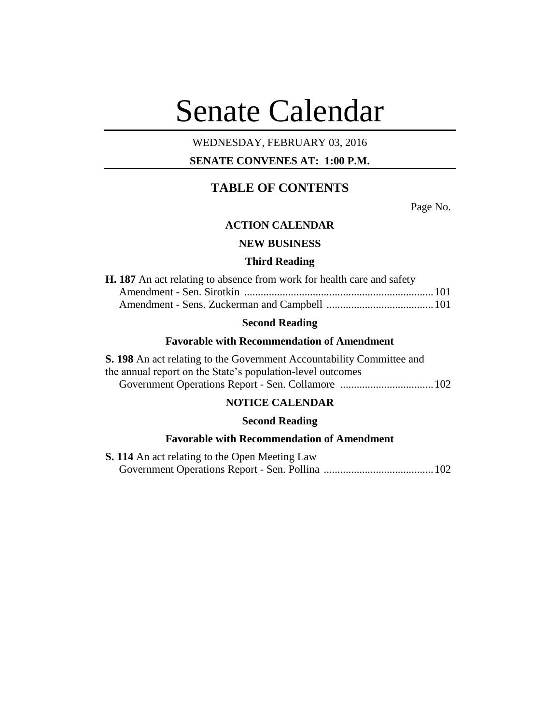# Senate Calendar

## WEDNESDAY, FEBRUARY 03, 2016

## **SENATE CONVENES AT: 1:00 P.M.**

## **TABLE OF CONTENTS**

Page No.

## **ACTION CALENDAR**

#### **NEW BUSINESS**

#### **Third Reading**

| <b>H. 187</b> An act relating to absence from work for health care and safety |  |
|-------------------------------------------------------------------------------|--|
|                                                                               |  |
|                                                                               |  |

## **Second Reading**

#### **Favorable with Recommendation of Amendment**

**S. 198** An act relating to the Government Accountability Committee and the annual report on the State's population-level outcomes Government Operations Report - Sen. Collamore ..................................102

## **NOTICE CALENDAR**

#### **Second Reading**

### **Favorable with Recommendation of Amendment**

**S. 114** An act relating to the Open Meeting Law Government Operations Report - Sen. Pollina ........................................102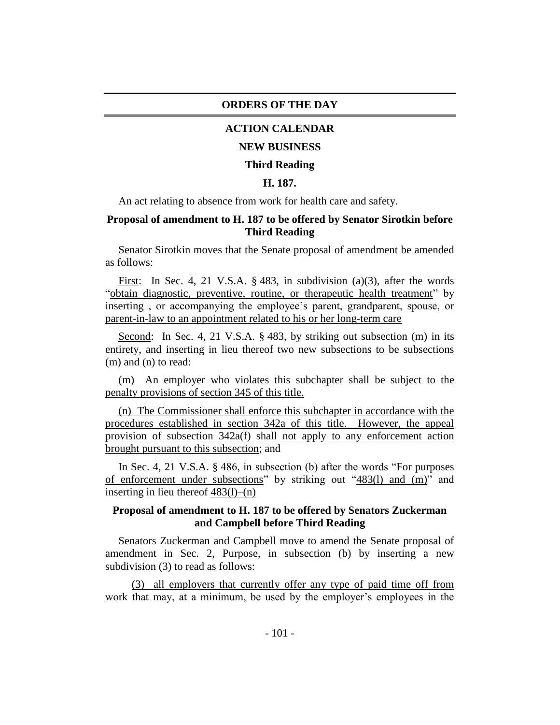#### **ORDERS OF THE DAY**

### **ACTION CALENDAR**

#### **NEW BUSINESS**

#### **Third Reading**

#### **H. 187.**

An act relating to absence from work for health care and safety.

## **Proposal of amendment to H. 187 to be offered by Senator Sirotkin before Third Reading**

Senator Sirotkin moves that the Senate proposal of amendment be amended as follows:

First: In Sec. 4, 21 V.S.A. § 483, in subdivision (a)(3), after the words "obtain diagnostic, preventive, routine, or therapeutic health treatment" by inserting , or accompanying the employee's parent, grandparent, spouse, or parent-in-law to an appointment related to his or her long-term care

Second: In Sec. 4, 21 V.S.A. § 483, by striking out subsection (m) in its entirety, and inserting in lieu thereof two new subsections to be subsections (m) and (n) to read:

(m) An employer who violates this subchapter shall be subject to the penalty provisions of section 345 of this title.

(n) The Commissioner shall enforce this subchapter in accordance with the procedures established in section 342a of this title. However, the appeal provision of subsection 342a(f) shall not apply to any enforcement action brought pursuant to this subsection; and

In Sec. 4, 21 V.S.A. § 486, in subsection (b) after the words "For purposes of enforcement under subsections" by striking out "483(l) and (m)" and inserting in lieu thereof  $\frac{483(l) - (n)}{l}$ 

### **Proposal of amendment to H. 187 to be offered by Senators Zuckerman and Campbell before Third Reading**

Senators Zuckerman and Campbell move to amend the Senate proposal of amendment in Sec. 2, Purpose, in subsection (b) by inserting a new subdivision (3) to read as follows:

(3) all employers that currently offer any type of paid time off from work that may, at a minimum, be used by the employer's employees in the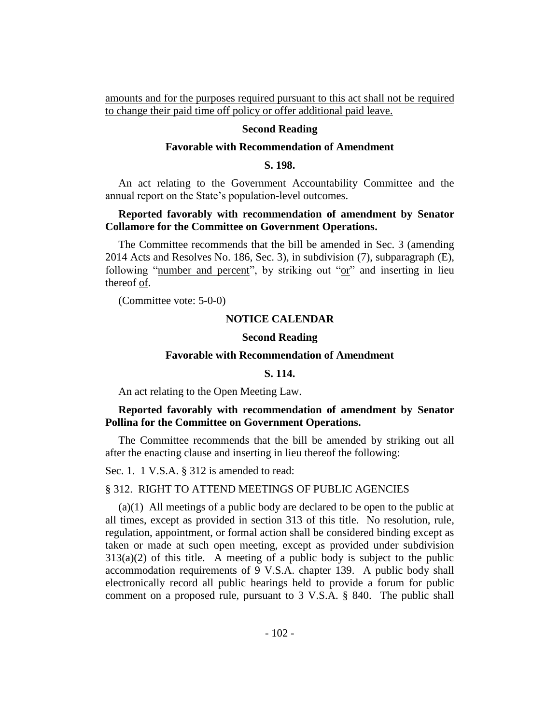amounts and for the purposes required pursuant to this act shall not be required to change their paid time off policy or offer additional paid leave.

#### **Second Reading**

#### **Favorable with Recommendation of Amendment**

#### **S. 198.**

An act relating to the Government Accountability Committee and the annual report on the State's population-level outcomes.

## **Reported favorably with recommendation of amendment by Senator Collamore for the Committee on Government Operations.**

The Committee recommends that the bill be amended in Sec. 3 (amending 2014 Acts and Resolves No. 186, Sec. 3), in subdivision (7), subparagraph (E), following "number and percent", by striking out "or" and inserting in lieu thereof of.

(Committee vote: 5-0-0)

#### **NOTICE CALENDAR**

#### **Second Reading**

#### **Favorable with Recommendation of Amendment**

#### **S. 114.**

An act relating to the Open Meeting Law.

#### **Reported favorably with recommendation of amendment by Senator Pollina for the Committee on Government Operations.**

The Committee recommends that the bill be amended by striking out all after the enacting clause and inserting in lieu thereof the following:

Sec. 1. 1 V.S.A. § 312 is amended to read:

#### § 312. RIGHT TO ATTEND MEETINGS OF PUBLIC AGENCIES

(a)(1) All meetings of a public body are declared to be open to the public at all times, except as provided in section 313 of this title. No resolution, rule, regulation, appointment, or formal action shall be considered binding except as taken or made at such open meeting, except as provided under subdivision  $313(a)(2)$  of this title. A meeting of a public body is subject to the public accommodation requirements of 9 V.S.A. chapter 139. A public body shall electronically record all public hearings held to provide a forum for public comment on a proposed rule, pursuant to 3 V.S.A. § 840. The public shall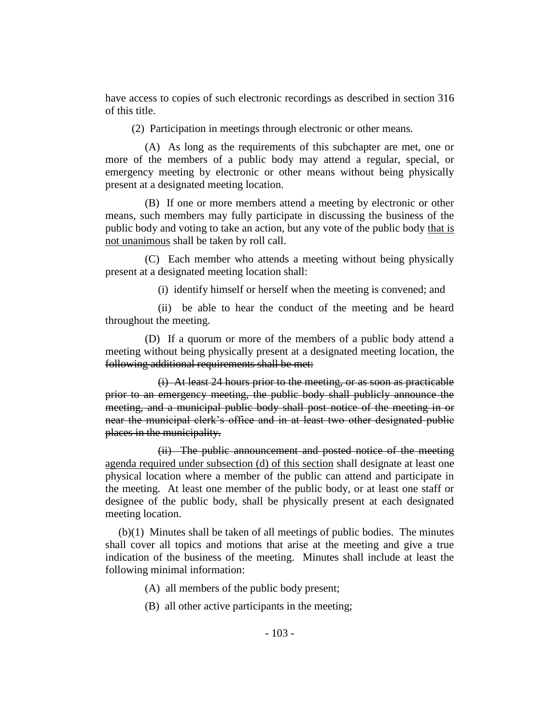have access to copies of such electronic recordings as described in section 316 of this title.

(2) Participation in meetings through electronic or other means.

(A) As long as the requirements of this subchapter are met, one or more of the members of a public body may attend a regular, special, or emergency meeting by electronic or other means without being physically present at a designated meeting location.

(B) If one or more members attend a meeting by electronic or other means, such members may fully participate in discussing the business of the public body and voting to take an action, but any vote of the public body that is not unanimous shall be taken by roll call.

(C) Each member who attends a meeting without being physically present at a designated meeting location shall:

(i) identify himself or herself when the meeting is convened; and

(ii) be able to hear the conduct of the meeting and be heard throughout the meeting.

(D) If a quorum or more of the members of a public body attend a meeting without being physically present at a designated meeting location, the following additional requirements shall be met:

(i) At least 24 hours prior to the meeting, or as soon as practicable prior to an emergency meeting, the public body shall publicly announce the meeting, and a municipal public body shall post notice of the meeting in or near the municipal clerk's office and in at least two other designated public places in the municipality.

(ii) The public announcement and posted notice of the meeting agenda required under subsection (d) of this section shall designate at least one physical location where a member of the public can attend and participate in the meeting. At least one member of the public body, or at least one staff or designee of the public body, shall be physically present at each designated meeting location.

(b)(1) Minutes shall be taken of all meetings of public bodies. The minutes shall cover all topics and motions that arise at the meeting and give a true indication of the business of the meeting. Minutes shall include at least the following minimal information:

(A) all members of the public body present;

(B) all other active participants in the meeting;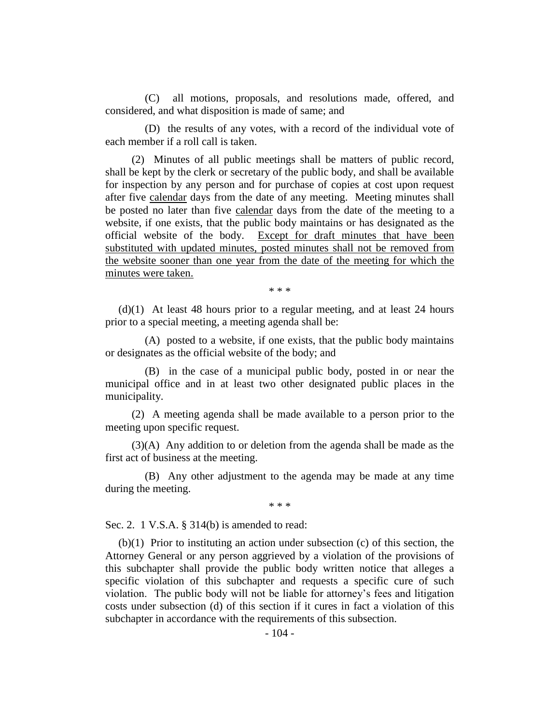(C) all motions, proposals, and resolutions made, offered, and considered, and what disposition is made of same; and

(D) the results of any votes, with a record of the individual vote of each member if a roll call is taken.

(2) Minutes of all public meetings shall be matters of public record, shall be kept by the clerk or secretary of the public body, and shall be available for inspection by any person and for purchase of copies at cost upon request after five calendar days from the date of any meeting. Meeting minutes shall be posted no later than five calendar days from the date of the meeting to a website, if one exists, that the public body maintains or has designated as the official website of the body. Except for draft minutes that have been substituted with updated minutes, posted minutes shall not be removed from the website sooner than one year from the date of the meeting for which the minutes were taken.

\* \* \*

(d)(1) At least 48 hours prior to a regular meeting, and at least 24 hours prior to a special meeting, a meeting agenda shall be:

(A) posted to a website, if one exists, that the public body maintains or designates as the official website of the body; and

(B) in the case of a municipal public body, posted in or near the municipal office and in at least two other designated public places in the municipality.

(2) A meeting agenda shall be made available to a person prior to the meeting upon specific request.

(3)(A) Any addition to or deletion from the agenda shall be made as the first act of business at the meeting.

(B) Any other adjustment to the agenda may be made at any time during the meeting.

\* \* \*

Sec. 2. 1 V.S.A. § 314(b) is amended to read:

(b)(1) Prior to instituting an action under subsection (c) of this section, the Attorney General or any person aggrieved by a violation of the provisions of this subchapter shall provide the public body written notice that alleges a specific violation of this subchapter and requests a specific cure of such violation. The public body will not be liable for attorney's fees and litigation costs under subsection (d) of this section if it cures in fact a violation of this subchapter in accordance with the requirements of this subsection.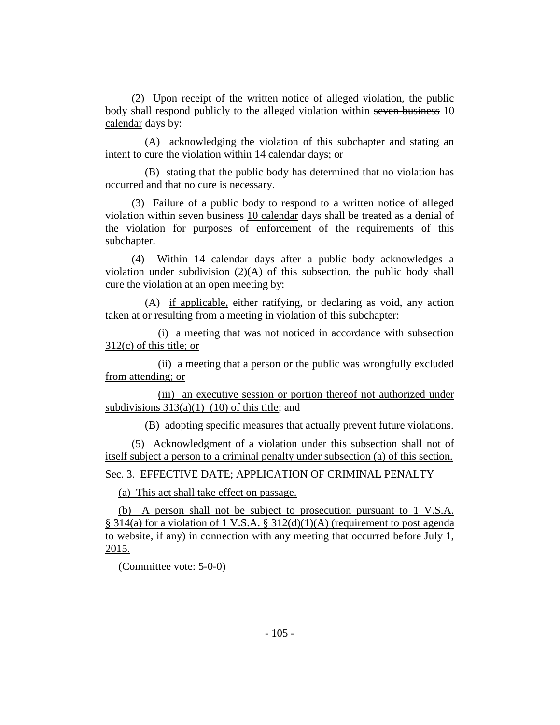(2) Upon receipt of the written notice of alleged violation, the public body shall respond publicly to the alleged violation within seven business 10 calendar days by:

(A) acknowledging the violation of this subchapter and stating an intent to cure the violation within 14 calendar days; or

(B) stating that the public body has determined that no violation has occurred and that no cure is necessary.

(3) Failure of a public body to respond to a written notice of alleged violation within seven business 10 calendar days shall be treated as a denial of the violation for purposes of enforcement of the requirements of this subchapter.

(4) Within 14 calendar days after a public body acknowledges a violation under subdivision (2)(A) of this subsection, the public body shall cure the violation at an open meeting by:

(A) if applicable, either ratifying, or declaring as void, any action taken at or resulting from a meeting in violation of this subchapter:

(i) a meeting that was not noticed in accordance with subsection 312(c) of this title; or

(ii) a meeting that a person or the public was wrongfully excluded from attending; or

(iii) an executive session or portion thereof not authorized under subdivisions  $313(a)(1)–(10)$  of this title; and

(B) adopting specific measures that actually prevent future violations.

(5) Acknowledgment of a violation under this subsection shall not of itself subject a person to a criminal penalty under subsection (a) of this section.

Sec. 3. EFFECTIVE DATE; APPLICATION OF CRIMINAL PENALTY

(a) This act shall take effect on passage.

(b) A person shall not be subject to prosecution pursuant to 1 V.S.A. § 314(a) for a violation of 1 V.S.A. § 312(d)(1)(A) (requirement to post agenda to website, if any) in connection with any meeting that occurred before July 1, 2015.

(Committee vote: 5-0-0)